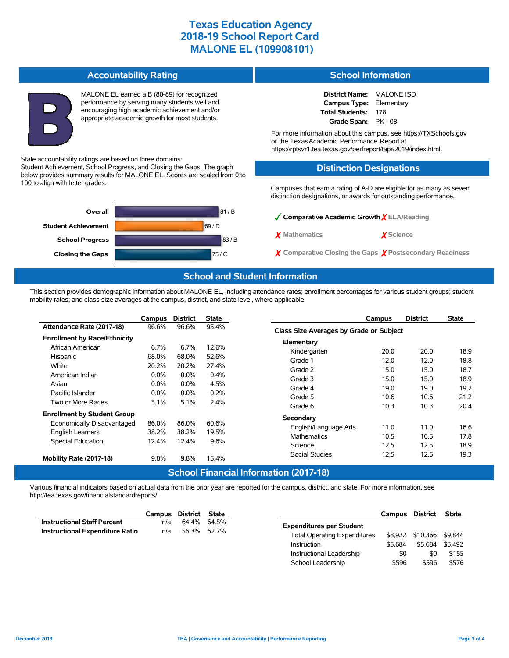**Accountability Rating** MALONE EL earned a B (80-89) for recognized performance by serving many students well and encouraging high academic achievement and/or appropriate academic growth for most students. State accountability ratings are based on three domains: Student Achievement, School Progress, and Closing the Gaps. The graph below provides summary results for MALONE EL. Scores are scaled from 0 to 100 to align with letter grades. 81 / B 69 / D **Student Achievement Overall District Name:** MALONE ISD **Campus Type:** Elementary **Total Students:** 178 **Grade Span:** PK - 08 For more information about this campus, see https://TXSchools.gov or the Texas Academic Performance Report at https://rptsvr1.tea.texas.gov/perfreport/tapr/2019/index.html. **Distinction Designations** Campuses that earn a rating of A-D are eligible for as many as seven distinction designations, or awards for outstanding performance. ✓**Comparative Academic Growth** ✗ **ELA/Reading**



## **School Information**

| Comparative Academic Growth YELA/Reading                           |           |
|--------------------------------------------------------------------|-----------|
| X Mathematics                                                      | X Science |
| $\chi$ Comparative Closing the Gaps $\chi$ Postsecondary Readiness |           |

#### **School and Student Information**

This section provides demographic information about MALONE EL, including attendance rates; enrollment percentages for various student groups; student mobility rates; and class size averages at the campus, district, and state level, where applicable.

|                                                                    | Campus  | <b>District</b> | <b>State</b>                        | <b>District</b><br>Campus               | <b>State</b> |  |  |  |  |  |
|--------------------------------------------------------------------|---------|-----------------|-------------------------------------|-----------------------------------------|--------------|--|--|--|--|--|
| Attendance Rate (2017-18)                                          | 96.6%   | 96.6%           | 95.4%                               | Class Size Averages by Grade or Subject |              |  |  |  |  |  |
| <b>Enrollment by Race/Ethnicity</b>                                |         |                 |                                     | Elementary                              |              |  |  |  |  |  |
| African American                                                   | 6.7%    | 6.7%            | 12.6%                               | 20.0<br>Kindergarten<br>20.0            | 18.9         |  |  |  |  |  |
| Hispanic                                                           | 68.0%   | 68.0%           | 52.6%                               | Grade 1<br>12.0<br>12.0                 | 18.8         |  |  |  |  |  |
| White                                                              | 20.2%   | 20.2%           | 27.4%                               | 15.0<br>15.0<br>Grade 2                 | 18.7         |  |  |  |  |  |
| American Indian                                                    | $0.0\%$ | $0.0\%$         | 0.4%                                | Grade 3<br>15.0<br>15.0                 | 18.9         |  |  |  |  |  |
| Asian                                                              | $0.0\%$ | $0.0\%$         | 4.5%                                | Grade 4<br>19.0<br>19.0                 | 19.2         |  |  |  |  |  |
| Pacific Islander                                                   | $0.0\%$ | $0.0\%$         | 0.2%                                | 10.6<br>Grade 5<br>10.6                 | 21.2         |  |  |  |  |  |
| Two or More Races                                                  | 5.1%    | 5.1%            | 2.4%                                |                                         | 20.4         |  |  |  |  |  |
| 10.3<br>Grade 6<br>10.3<br><b>Enrollment by Student Group</b>      |         |                 |                                     |                                         |              |  |  |  |  |  |
| Secondary<br>86.0%<br>86.0%<br>60.6%<br>Economically Disadvantaged |         |                 |                                     |                                         |              |  |  |  |  |  |
| English Learners                                                   | 38.2%   | 38.2%           | 19.5%<br><b>Mathematics</b><br>9.6% | 11.0<br>11.0<br>English/Language Arts   | 16.6         |  |  |  |  |  |
| <b>Special Education</b>                                           | 12.4%   | 12.4%           |                                     | 10.5<br>10.5                            | 17.8         |  |  |  |  |  |
|                                                                    |         |                 | 12.5<br>Science<br>12.5             | 18.9                                    |              |  |  |  |  |  |
| Mobility Rate (2017-18)                                            | 9.8%    | 9.8%            | 15.4%                               | 12.5<br>12.5<br>Social Studies          | 19.3         |  |  |  |  |  |
| <b>School Financial Information (2017-18)</b>                      |         |                 |                                     |                                         |              |  |  |  |  |  |

Various financial indicators based on actual data from the prior year are reported for the campus, district, and state. For more information, see http://tea.texas.gov/financialstandardreports/.

|                                        | Campus District State |             |  |
|----------------------------------------|-----------------------|-------------|--|
| <b>Instructional Staff Percent</b>     | n/a                   | 64.4% 64.5% |  |
| <b>Instructional Expenditure Ratio</b> | n/a                   | 56.3% 62.7% |  |

|                                     | Campus District |                  | <b>State</b> |
|-------------------------------------|-----------------|------------------|--------------|
| <b>Expenditures per Student</b>     |                 |                  |              |
| <b>Total Operating Expenditures</b> |                 | \$8,922 \$10,366 | \$9.844      |
| Instruction                         | \$5.684         | \$5.684          | \$5.492      |
| Instructional Leadership            | \$0             | \$0              | \$155        |
| School Leadership                   | \$596           | \$596            | \$576        |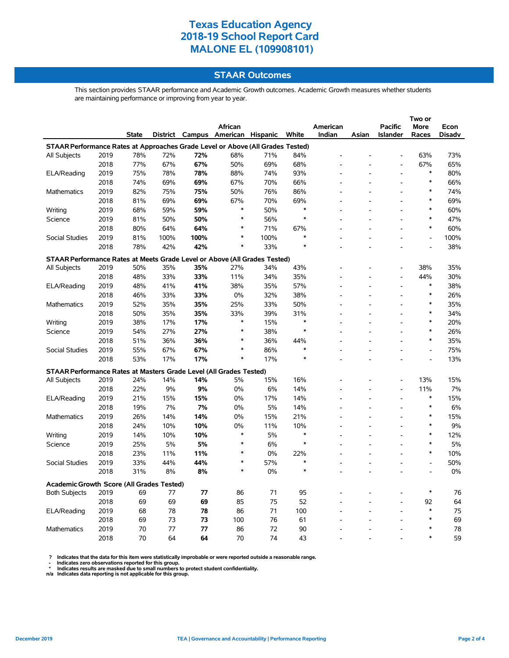### **STAAR Outcomes**

This section provides STAAR performance and Academic Growth outcomes. Academic Growth measures whether students are maintaining performance or improving from year to year.

|                                                                                |      |       |          |      |                          |      |        |          |       |                | Two or         |               |
|--------------------------------------------------------------------------------|------|-------|----------|------|--------------------------|------|--------|----------|-------|----------------|----------------|---------------|
|                                                                                |      |       |          |      | <b>African</b>           |      |        | American |       | <b>Pacific</b> | More           | Econ          |
|                                                                                |      | State | District |      | Campus American Hispanic |      | White  | Indian   | Asian | Islander       | Races          | <b>Disadv</b> |
| STAAR Performance Rates at Approaches Grade Level or Above (All Grades Tested) |      |       |          |      |                          |      |        |          |       |                |                |               |
| All Subjects                                                                   | 2019 | 78%   | 72%      | 72%  | 68%                      | 71%  | 84%    |          |       |                | 63%            | 73%           |
|                                                                                | 2018 | 77%   | 67%      | 67%  | 50%                      | 69%  | 68%    |          |       | $\overline{a}$ | 67%            | 65%           |
| ELA/Reading                                                                    | 2019 | 75%   | 78%      | 78%  | 88%                      | 74%  | 93%    |          |       |                | $\ast$         | 80%           |
|                                                                                | 2018 | 74%   | 69%      | 69%  | 67%                      | 70%  | 66%    |          |       |                | $\ast$         | 66%           |
| Mathematics                                                                    | 2019 | 82%   | 75%      | 75%  | 50%                      | 76%  | 86%    |          |       |                | $\ast$         | 74%           |
|                                                                                | 2018 | 81%   | 69%      | 69%  | 67%                      | 70%  | 69%    |          |       |                | $\ast$         | 69%           |
| Writing                                                                        | 2019 | 68%   | 59%      | 59%  | $\ast$                   | 50%  | ∗      |          |       | $\overline{a}$ | ∗              | 60%           |
| Science                                                                        | 2019 | 81%   | 50%      | 50%  | $\ast$                   | 56%  | $\ast$ |          |       |                | $\ast$         | 47%           |
|                                                                                | 2018 | 80%   | 64%      | 64%  | $\ast$                   | 71%  | 67%    |          |       |                | $\ast$         | 60%           |
| <b>Social Studies</b>                                                          | 2019 | 81%   | 100%     | 100% | $\ast$                   | 100% | $\ast$ |          |       |                | $\overline{a}$ | 100%          |
|                                                                                | 2018 | 78%   | 42%      | 42%  | $\ast$                   | 33%  | $\ast$ |          |       |                |                | 38%           |
| STAAR Performance Rates at Meets Grade Level or Above (All Grades Tested)      |      |       |          |      |                          |      |        |          |       |                |                |               |
| All Subjects                                                                   | 2019 | 50%   | 35%      | 35%  | 27%                      | 34%  | 43%    |          |       |                | 38%            | 35%           |
|                                                                                | 2018 | 48%   | 33%      | 33%  | 11%                      | 34%  | 35%    |          |       | L,             | 44%            | 30%           |
| ELA/Reading                                                                    | 2019 | 48%   | 41%      | 41%  | 38%                      | 35%  | 57%    |          |       |                | $\ast$         | 38%           |
|                                                                                | 2018 | 46%   | 33%      | 33%  | 0%                       | 32%  | 38%    |          |       |                | $\ast$         | 26%           |
| Mathematics                                                                    | 2019 | 52%   | 35%      | 35%  | 25%                      | 33%  | 50%    |          |       |                | $\ast$         | 35%           |
|                                                                                | 2018 | 50%   | 35%      | 35%  | 33%                      | 39%  | 31%    |          |       |                | $\ast$         | 34%           |
| Writing                                                                        | 2019 | 38%   | 17%      | 17%  | $\ast$                   | 15%  | $\ast$ |          |       |                | ∗              | 20%           |
| Science                                                                        | 2019 | 54%   | 27%      | 27%  | $\ast$                   | 38%  | $\ast$ |          |       |                | $\ast$         | 26%           |
|                                                                                | 2018 | 51%   | 36%      | 36%  | $\ast$                   | 36%  | 44%    |          |       |                | $\ast$         | 35%           |
| <b>Social Studies</b>                                                          | 2019 | 55%   | 67%      | 67%  | $\ast$                   | 86%  | $\ast$ |          |       |                | $\overline{a}$ | 75%           |
|                                                                                | 2018 | 53%   | 17%      | 17%  | $\ast$                   | 17%  | $\ast$ |          |       |                |                | 13%           |
|                                                                                |      |       |          |      |                          |      |        |          |       |                |                |               |
| STAAR Performance Rates at Masters Grade Level (All Grades Tested)             |      |       |          |      |                          |      |        |          |       |                |                |               |
| All Subjects                                                                   | 2019 | 24%   | 14%      | 14%  | 5%                       | 15%  | 16%    |          |       | $\overline{a}$ | 13%            | 15%           |
|                                                                                | 2018 | 22%   | 9%       | 9%   | 0%                       | 6%   | 14%    |          |       |                | 11%            | 7%            |
| ELA/Reading                                                                    | 2019 | 21%   | 15%      | 15%  | 0%                       | 17%  | 14%    |          |       | $\overline{a}$ | $\ast$         | 15%           |
|                                                                                | 2018 | 19%   | 7%       | 7%   | $0\%$                    | 5%   | 14%    |          |       |                | $\ast$         | 6%            |
| Mathematics                                                                    | 2019 | 26%   | 14%      | 14%  | 0%                       | 15%  | 21%    |          |       |                | *              | 15%           |
|                                                                                | 2018 | 24%   | 10%      | 10%  | 0%                       | 11%  | 10%    |          |       |                | $\ast$         | 9%            |
| Writing                                                                        | 2019 | 14%   | 10%      | 10%  | $\ast$                   | 5%   | $\ast$ |          |       |                | $\ast$         | 12%           |
| Science                                                                        | 2019 | 25%   | 5%       | 5%   | $\ast$                   | 6%   | $\ast$ |          |       | $\overline{a}$ | $\ast$         | 5%            |
|                                                                                | 2018 | 23%   | 11%      | 11%  | $\ast$                   | 0%   | 22%    |          |       |                | $\ast$         | 10%           |
| Social Studies                                                                 | 2019 | 33%   | 44%      | 44%  | $\ast$                   | 57%  | $\ast$ |          |       |                | $\overline{a}$ | 50%           |
|                                                                                | 2018 | 31%   | 8%       | 8%   | $\ast$                   | 0%   | $\ast$ |          |       |                |                | 0%            |
| Academic Growth Score (All Grades Tested)                                      |      |       |          |      |                          |      |        |          |       |                |                |               |
| <b>Both Subjects</b>                                                           | 2019 | 69    | 77       | 77   | 86                       | 71   | 95     |          |       |                | *              | 76            |
|                                                                                | 2018 | 69    | 69       | 69   | 85                       | 75   | 52     |          |       |                | 92             | 64            |
| ELA/Reading                                                                    | 2019 | 68    | 78       | 78   | 86                       | 71   | 100    |          |       |                | $\ast$         | 75            |
|                                                                                | 2018 | 69    | 73       | 73   | 100                      | 76   | 61     |          |       |                | $\ast$         | 69            |
| <b>Mathematics</b>                                                             | 2019 | 70    | 77       | 77   | 86                       | 72   | 90     |          |       |                | $\ast$         | 78            |
|                                                                                | 2018 | 70    | 64       | 64   | 70                       | 74   | 43     |          |       |                | $\ast$         | 59            |

 **? Indicates that the data for this item were statistically improbable or were reported outside a reasonable range.**

 **- Indicates zero observations reported for this group. \* Indicates results are masked due to small numbers to protect student confidentiality.**

**n/a Indicates data reporting is not applicable for this group.**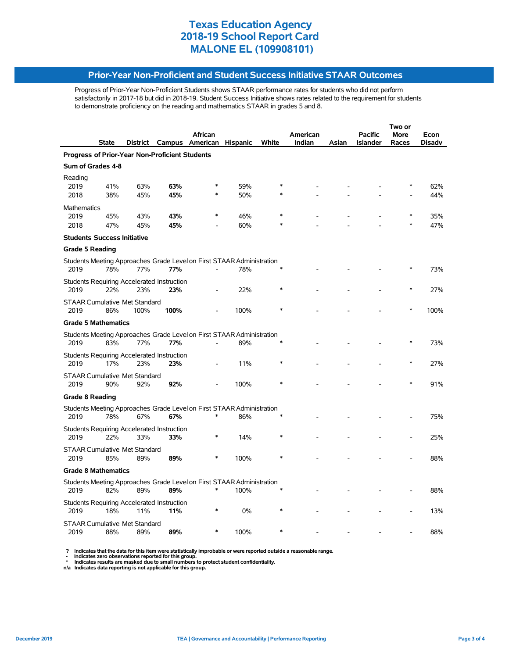#### **Prior-Year Non-Proficient and Student Success Initiative STAAR Outcomes**

Progress of Prior-Year Non-Proficient Students shows STAAR performance rates for students who did not perform satisfactorily in 2017-18 but did in 2018-19. Student Success Initiative shows rates related to the requirement for students to demonstrate proficiency on the reading and mathematics STAAR in grades 5 and 8.

|                                                |                                                   |          |      | Two or                                                                          |                 |       |          |       |                 |       |        |  |  |
|------------------------------------------------|---------------------------------------------------|----------|------|---------------------------------------------------------------------------------|-----------------|-------|----------|-------|-----------------|-------|--------|--|--|
|                                                |                                                   |          |      | <b>African</b>                                                                  |                 |       | American |       | Pacific         | More  | Econ   |  |  |
|                                                | State                                             | District |      | Campus American                                                                 | <b>Hispanic</b> | White | Indian   | Asian | <b>Islander</b> | Races | Disadv |  |  |
| Progress of Prior-Year Non-Proficient Students |                                                   |          |      |                                                                                 |                 |       |          |       |                 |       |        |  |  |
| Sum of Grades 4-8                              |                                                   |          |      |                                                                                 |                 |       |          |       |                 |       |        |  |  |
| Reading                                        |                                                   |          |      |                                                                                 |                 |       |          |       |                 |       |        |  |  |
| 2019                                           | 41%                                               | 63%      | 63%  |                                                                                 | 59%             |       |          |       |                 |       | 62%    |  |  |
| 2018                                           | 38%                                               | 45%      | 45%  |                                                                                 | 50%             |       |          |       |                 |       | 44%    |  |  |
| Mathematics                                    |                                                   |          |      |                                                                                 |                 |       |          |       |                 |       |        |  |  |
| 2019                                           | 45%                                               | 43%      | 43%  |                                                                                 | 46%             |       |          |       |                 |       | 35%    |  |  |
| 2018                                           | 47%                                               | 45%      | 45%  |                                                                                 | 60%             |       |          |       |                 |       | 47%    |  |  |
|                                                | <b>Students Success Initiative</b>                |          |      |                                                                                 |                 |       |          |       |                 |       |        |  |  |
| <b>Grade 5 Reading</b>                         |                                                   |          |      |                                                                                 |                 |       |          |       |                 |       |        |  |  |
|                                                |                                                   |          |      | Students Meeting Approaches Grade Level on First STAAR Administration           |                 |       |          |       |                 |       |        |  |  |
| 2019                                           | 78%                                               | 77%      | 77%  |                                                                                 | 78%             |       |          |       |                 |       | 73%    |  |  |
|                                                | Students Requiring Accelerated Instruction        |          |      |                                                                                 |                 |       |          |       |                 |       |        |  |  |
| 2019                                           | 22%                                               | 23%      | 23%  |                                                                                 | 22%             |       |          |       |                 |       | 27%    |  |  |
|                                                | <b>STAAR Cumulative Met Standard</b>              |          |      |                                                                                 |                 |       |          |       |                 |       |        |  |  |
| 2019                                           | 86%                                               | 100%     | 100% |                                                                                 | 100%            |       |          |       |                 |       | 100%   |  |  |
|                                                | <b>Grade 5 Mathematics</b>                        |          |      |                                                                                 |                 |       |          |       |                 |       |        |  |  |
|                                                |                                                   |          |      | Students Meeting Approaches Grade Level on First STAAR Administration           |                 |       |          |       |                 |       |        |  |  |
| 2019                                           | 83%                                               | 77%      | 77%  | ÷.                                                                              | 89%             |       |          |       |                 |       | 73%    |  |  |
|                                                | <b>Students Requiring Accelerated Instruction</b> |          |      |                                                                                 |                 |       |          |       |                 |       |        |  |  |
| 2019                                           | 17%                                               | 23%      | 23%  |                                                                                 | 11%             |       |          |       |                 |       | 27%    |  |  |
|                                                | <b>STAAR Cumulative Met Standard</b>              |          |      |                                                                                 |                 |       |          |       |                 |       |        |  |  |
| 2019                                           | 90%                                               | 92%      | 92%  |                                                                                 | 100%            |       |          |       |                 |       | 91%    |  |  |
| <b>Grade 8 Reading</b>                         |                                                   |          |      |                                                                                 |                 |       |          |       |                 |       |        |  |  |
|                                                |                                                   |          |      | Students Meeting Approaches Grade Level on First STAAR Administration           |                 |       |          |       |                 |       |        |  |  |
| 2019                                           | 78%                                               | 67%      | 67%  | $\ast$                                                                          | 86%             |       |          |       |                 |       | 75%    |  |  |
|                                                | <b>Students Requiring Accelerated Instruction</b> |          |      |                                                                                 |                 |       |          |       |                 |       |        |  |  |
| 2019                                           | 22%                                               | 33%      | 33%  | $\ast$                                                                          | 14%             |       |          |       |                 |       | 25%    |  |  |
|                                                |                                                   |          |      |                                                                                 |                 |       |          |       |                 |       |        |  |  |
| 2019                                           | <b>STAAR Cumulative Met Standard</b><br>85%       | 89%      | 89%  |                                                                                 | 100%            |       |          |       |                 |       | 88%    |  |  |
|                                                | <b>Grade 8 Mathematics</b>                        |          |      |                                                                                 |                 |       |          |       |                 |       |        |  |  |
|                                                |                                                   |          |      |                                                                                 |                 |       |          |       |                 |       |        |  |  |
| 2019                                           | 82%                                               | 89%      | 89%  | Students Meeting Approaches Grade Level on First STAAR Administration<br>$\ast$ | 100%            |       |          |       |                 |       | 88%    |  |  |
|                                                |                                                   |          |      |                                                                                 |                 |       |          |       |                 |       |        |  |  |
|                                                | <b>Students Requiring Accelerated Instruction</b> |          |      |                                                                                 |                 |       |          |       |                 |       |        |  |  |
| 2019                                           | 18%                                               | 11%      | 11%  |                                                                                 | 0%              |       |          |       |                 |       | 13%    |  |  |
|                                                | <b>STAAR Cumulative Met Standard</b>              |          |      |                                                                                 |                 |       |          |       |                 |       |        |  |  |
| 2019                                           | 88%                                               | 89%      | 89%  | ∗                                                                               | 100%            |       |          |       |                 |       | 88%    |  |  |

 **? Indicates that the data for this item were statistically improbable or were reported outside a reasonable range.**

 **- Indicates zero observations reported for this group. \* Indicates results are masked due to small numbers to protect student confidentiality.**

**n/a Indicates data reporting is not applicable for this group.**